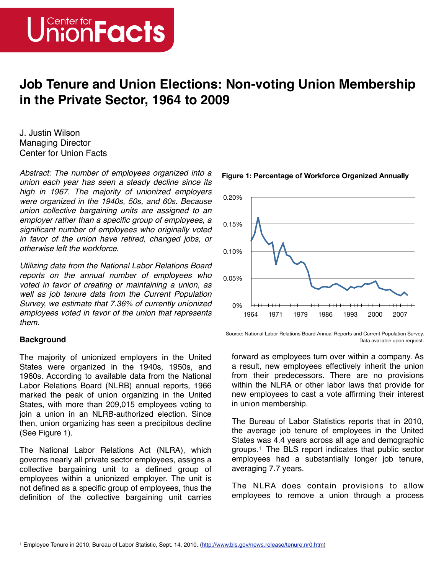

# **Job Tenure and Union Elections: Non-voting Union Membership in the Private Sector, 1964 to 2009**

J. Justin Wilson Managing Director Center for Union Facts

*Abstract: The number of employees organized into a union each year has seen a steady decline since its high in 1967. The majority of unionized employers were organized in the 1940s, 50s, and 60s. Because union collective bargaining units are assigned to an employer rather than a specific group of employees, a significant number of employees who originally voted in favor of the union have retired, changed jobs, or otherwise left the workforce.*

*Utilizing data from the National Labor Relations Board reports on the annual number of employees who voted in favor of creating or maintaining a union, as well as job tenure data from the Current Population Survey, we estimate that 7.36% of currently unionized employees voted in favor of the union that represents them.*

# **Background**

The majority of unionized employers in the United States were organized in the 1940s, 1950s, and 1960s. According to available data from the National Labor Relations Board (NLRB) annual reports, 1966 marked the peak of union organizing in the United States, with more than 209,015 employees voting to join a union in an NLRB-authorized election. Since then, union organizing has seen a precipitous decline (See Figure 1).

The National Labor Relations Act (NLRA), which governs nearly all private sector employees, assigns a collective bargaining unit to a defined group of employees within a unionized employer. The unit is not defined as a specific group of employees, thus the definition of the collective bargaining unit carries



### **Figure 1: Percentage of Workforce Organized Annually**

Source: National Labor Relations Board Annual Reports and Current Population Survey. Data available upon request.

forward as employees turn over within a company. As a result, new employees effectively inherit the union from their predecessors. There are no provisions within the NLRA or other labor laws that provide for new employees to cast a vote affirming their interest in union membership.

The Bureau of Labor Statistics reports that in 2010, the average job tenure of employees in the United States was 4.4 years across all age and demographic groups.[1](#page-0-0) The BLS report indicates that public sector employees had a substantially longer job tenure, averaging 7.7 years.

The NLRA does contain provisions to allow employees to remove a union through a process

<span id="page-0-0"></span><sup>1</sup> Employee Tenure in 2010, Bureau of Labor Statistic, Sept. 14, 2010. [\(http://www.bls.gov/news.release/tenure.nr0.htm\)](http://www.bls.gov/news.release/tenure.nr0.htm)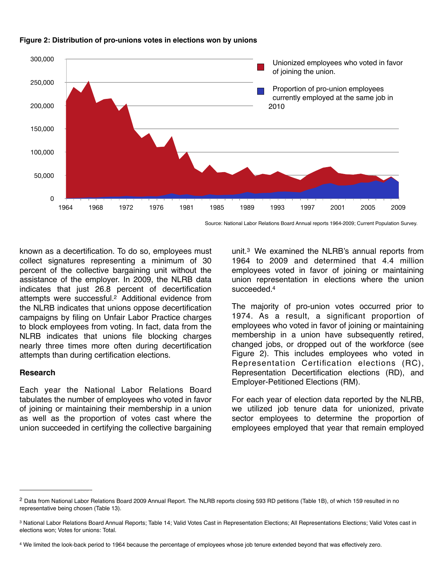

#### **Figure 2: Distribution of pro-unions votes in elections won by unions**

Source: National Labor Relations Board Annual reports 1964-2009; Current Population Survey.

known as a decertification. To do so, employees must collect signatures representing a minimum of 30 percent of the collective bargaining unit without the assistance of the employer. In 2009, the NLRB data indicates that just 26.8 percent of decertification attempts were successful[.2](#page-1-0) Additional evidence from the NLRB indicates that unions oppose decertification campaigns by filing on Unfair Labor Practice charges to block employees from voting. In fact, data from the NLRB indicates that unions file blocking charges nearly three times more often during decertification attempts than during certification elections.

# **Research**

Each year the National Labor Relations Board tabulates the number of employees who voted in favor of joining or maintaining their membership in a union as well as the proportion of votes cast where the union succeeded in certifying the collective bargaining unit.[3](#page-1-1) We examined the NLRB's annual reports from 1964 to 2009 and determined that 4.4 million employees voted in favor of joining or maintaining union representation in elections where the union succeeded.<sup>4</sup>

The majority of pro-union votes occurred prior to 1974. As a result, a significant proportion of employees who voted in favor of joining or maintaining membership in a union have subsequently retired, changed jobs, or dropped out of the workforce (see Figure 2). This includes employees who voted in Representation Certification elections (RC), Representation Decertification elections (RD), and Employer-Petitioned Elections (RM).

For each year of election data reported by the NLRB, we utilized job tenure data for unionized, private sector employees to determine the proportion of employees employed that year that remain employed

<span id="page-1-0"></span><sup>&</sup>lt;sup>2</sup> Data from National Labor Relations Board 2009 Annual Report. The NLRB reports closing 593 RD petitions (Table 1B), of which 159 resulted in no representative being chosen (Table 13).

<span id="page-1-1"></span><sup>3</sup> National Labor Relations Board Annual Reports; Table 14; Valid Votes Cast in Representation Elections; All Representations Elections; Valid Votes cast in elections won; Votes for unions: Total.

<span id="page-1-2"></span><sup>4</sup> We limited the look-back period to 1964 because the percentage of employees whose job tenure extended beyond that was effectively zero.